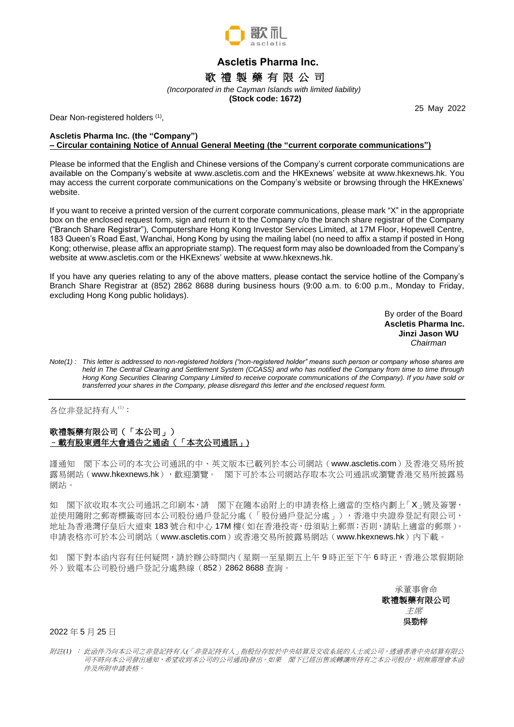

# **Ascletis Pharma Inc.** 歌 禮 製 藥 有 限 公 司

*(Incorporated in the Cayman Islands with limited liability)*

 **(Stock code: 1672)**

Dear Non-registered holders (1),

25 May 2022

## **Ascletis Pharma Inc. (the "Company") – Circular containing Notice of Annual General Meeting (the "current corporate communications")**

Please be informed that the English and Chinese versions of the Company's current corporate communications are available on the Company's website at www.ascletis.com and the HKExnews' website at [www.hkexnews.hk.](http://www.hkexnews.hk/) You may access the current corporate communications on the Company's website or browsing through the HKExnews' website.

If you want to receive a printed version of the current corporate communications, please mark "X" in the appropriate box on the enclosed request form, sign and return it to the Company c/o the branch share registrar of the Company ("Branch Share Registrar"), Computershare Hong Kong Investor Services Limited, at 17M Floor, Hopewell Centre, 183 Queen's Road East, Wanchai, Hong Kong by using the mailing label (no need to affix a stamp if posted in Hong Kong; otherwise, please affix an appropriate stamp). The request form may also be downloaded from the Company's website at www.ascletis.com or the HKExnews' website a[t www.hkexnews.hk.](http://www.hkexnews.hk/)

If you have any queries relating to any of the above matters, please contact the service hotline of the Company's Branch Share Registrar at (852) 2862 8688 during business hours (9:00 a.m. to 6:00 p.m., Monday to Friday, excluding Hong Kong public holidays).

> By order of the Board **Ascletis Pharma Inc. Jinzi Jason WU** *Chairman*

*Note(1) : This letter is addressed to non-registered holders ("non-registered holder" means such person or company whose shares are held in The Central Clearing and Settlement System (CCASS) and who has notified the Company from time to time through Hong Kong Securities Clearing Company Limited to receive corporate communications of the Company). If you have sold or transferred your shares in the Company, please disregard this letter and the enclosed request form.*

各位非登記持有人(1):

## 歌禮製藥有限公司(「本公司」) –載有股東週年大會通告之通函(「本次公司通訊」)

謹通知 閣下本公司的本次公司通訊的中、英文版本已載列於本公司網站(www.ascletis.com)及香港交易所披 露易網站([www.hkexnews.hk](http://www.hkexnews.hk/)),歡迎瀏覽。 閣下可於本公司網站存取本次公司通訊或瀏覽香港交易所披露易 網站。

如 閣下欲收取本次公司通訊之印刷本,請 閣下在隨本函附上的申請表格上適當的空格內劃上「X」號及簽署, 並使用隨附之郵寄標籤寄回本公司股份過戶登記分處(「股份過戶登記分處」),香港中央證券登記有限公司, 地址為香港灣仔皇后大道東 183 號合和中心 17M 樓(如在香港投寄, 毋須貼上郵票; 否則, 請貼上適當的郵票)。 申請表格亦可於本公司網站(www.ascletis.com)或香港交易所披露易網站([www.hkexnews.hk](http://www.hkexnews.hk/))內下載。

如 閣下對本函內容有任何疑問,請於辦公時間內 (星期一至星期五上午9時正至下午6時正,香港公眾假期除 外)致電本公司股份過戶登記分處熱線(852)2862 8688 香詢。

> 承董事會命 歌禮製藥有限公司 主席 吳勁梓

2022 年 5 月 25 日

附註*(1)* : 此函件乃向本公司之非登記持有人*(*「非登記持有人」指股份存放於中央結算及交收系統的人士或公司,透過香港中央結算有限公 司不時向本公司發出通知,希望收到本公司的公司通訊*)*發出。如果 閣下已經出售或轉讓所持有之本公司股份,則無需理會本函 件及所附申請表格。